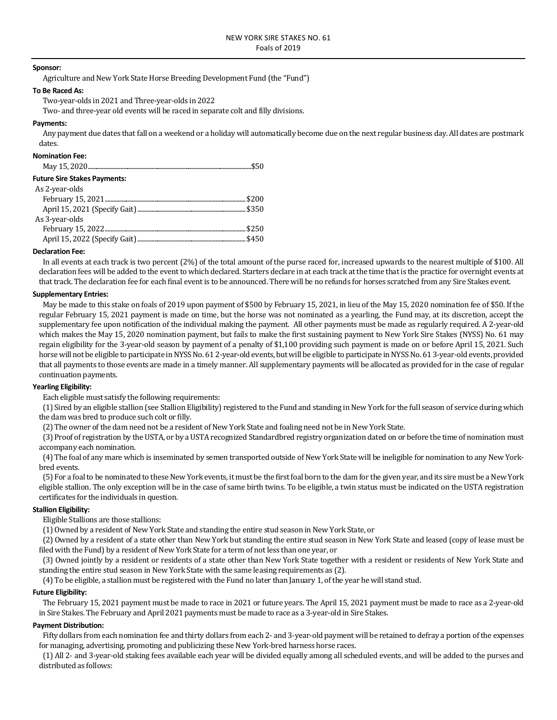## **Sponsor:**

Agriculture and New York State Horse Breeding Development Fund (the "Fund")

### **To Be Raced As:**

Two-year-olds in 2021 and Three-year-olds in 2022

Two- and three-year old events will be raced in separate colt and filly divisions.

## **Payments:**

Any payment due dates that fall on a weekend or a holiday will automatically become due on the next regular business day. All dates are postmark dates.

# **Nomination Fee:**

| <b>Future Sire Stakes Payments:</b> |  |
|-------------------------------------|--|
| As 2-year-olds                      |  |
|                                     |  |
|                                     |  |
| As 3-year-olds                      |  |
|                                     |  |
|                                     |  |

### **Declaration Fee:**

In all events at each track is two percent (2%) of the total amount of the purse raced for, increased upwards to the nearest multiple of \$100. All declaration fees will be added to the event to which declared. Starters declare in at each track at the time that is the practice for overnight events at that track. The declaration fee for each final event is to be announced. There will be no refunds for horses scratched from any Sire Stakes event.

## **Supplementary Entries:**

May be made to this stake on foals of 2019 upon payment of \$500 by February 15, 2021, in lieu of the May 15, 2020 nomination fee of \$50. If the regular February 15, 2021 payment is made on time, but the horse was not nominated as a yearling, the Fund may, at its discretion, accept the supplementary fee upon notification of the individual making the payment. All other payments must be made as regularly required. A 2-year-old which makes the May 15, 2020 nomination payment, but fails to make the first sustaining payment to New York Sire Stakes (NYSS) No. 61 may regain eligibility for the 3-year-old season by payment of a penalty of \$1,100 providing such payment is made on or before April 15, 2021. Such horse will not be eligible to participate in NYSS No. 61 2-year-old events, but will be eligible to participate in NYSS No. 61 3-year-old events, provided that all payments to those events are made in a timely manner. All supplementary payments will be allocated as provided for in the case of regular continuation payments.

### **Yearling Eligibility:**

Each eligible must satisfy the following requirements:

(1) Sired by an eligible stallion (see Stallion Eligibility) registered to the Fund and standing in New York for the full season of service during which the dam was bred to produce such colt or filly.

(2) The owner of the dam need not be a resident of New York State and foaling need not be in New York State.

(3) Proof of registration by the USTA, or by a USTA recognized Standardbred registry organization dated on or before the time of nomination must accompany each nomination.

(4) The foal of any mare which is inseminated by semen transported outside of New York State will be ineligible for nomination to any New Yorkbred events.

(5) For a foal to be nominated to these New York events, it must be the first foal born to the dam for the given year, and its sire must be a New York eligible stallion. The only exception will be in the case of same birth twins. To be eligible, a twin status must be indicated on the USTA registration certificates for the individuals in question.

# **Stallion Eligibility:**

Eligible Stallions are those stallions:

(1) Owned by a resident of New York State and standing the entire stud season in New York State, or

(2) Owned by a resident of a state other than New York but standing the entire stud season in New York State and leased (copy of lease must be filed with the Fund) by a resident of New York State for a term of not less than one year, or

(3) Owned jointly by a resident or residents of a state other than New York State together with a resident or residents of New York State and standing the entire stud season in New York State with the same leasing requirements as (2).

(4) To be eligible, a stallion must be registered with the Fund no later than January 1, of the year he will stand stud.

# **Future Eligibility:**

The February 15, 2021 payment must be made to race in 2021 or future years. The April 15, 2021 payment must be made to race as a 2-year-old in Sire Stakes. The February and April 2021 payments must be made to race as a 3-year-old in Sire Stakes.

# **Payment Distribution:**

Fifty dollars from each nomination fee and thirty dollars from each 2- and 3-year-old payment will be retained to defray a portion of the expenses for managing, advertising, promoting and publicizing these New York-bred harness horse races.

(1) All 2- and 3-year-old staking fees available each year will be divided equally among all scheduled events, and will be added to the purses and distributed as follows: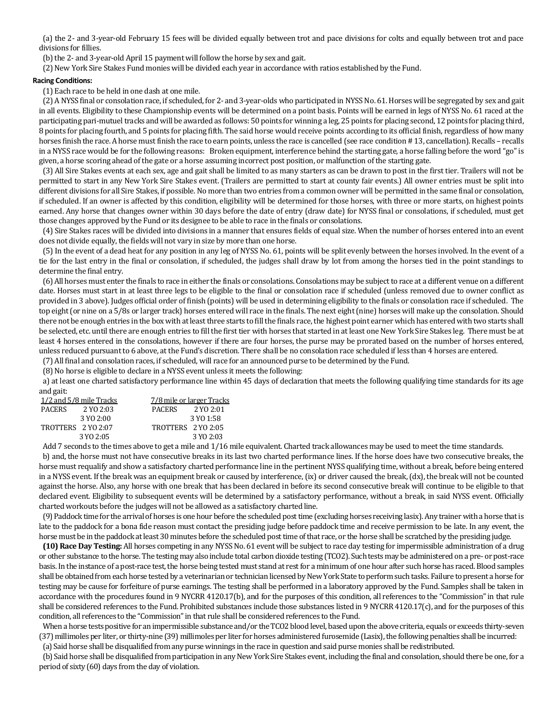(a) the 2- and 3-year-old February 15 fees will be divided equally between trot and pace divisions for colts and equally between trot and pace divisions for fillies.

(b) the 2- and 3-year-old April 15 payment will follow the horse by sex and gait.

(2) New York Sire Stakes Fund monies will be divided each year in accordance with ratios established by the Fund.

# **Racing Conditions:**

(1) Each race to be held in one dash at one mile.

(2) A NYSS final or consolation race, if scheduled, for 2- and 3-year-olds who participated in NYSS No. 61. Horses will be segregated by sex and gait in all events. Eligibility to these Championship events will be determined on a point basis. Points will be earned in legs of NYSS No. 61 raced at the participating pari-mutuel tracks and will be awarded as follows: 50 points for winning a leg, 25 points for placing second, 12 points for placing third, 8 points for placing fourth, and 5 points for placing fifth. The said horse would receive points according to its official finish, regardless of how many horses finish the race. A horse must finish the race to earn points, unless the race is cancelled (see race condition #13, cancellation). Recalls – recalls in a NYSS race would be for the following reasons: Broken equipment, interference behind the starting gate, a horse falling before the word "go" is given, a horse scoring ahead of the gate or a horse assuming incorrect post position, or malfunction of the starting gate.

(3) All Sire Stakes events at each sex, age and gait shall be limited to as many starters as can be drawn to post in the first tier. Trailers will not be permitted to start in any New York Sire Stakes event. (Trailers are permitted to start at county fair events.) All owner entries must be split into different divisions for all Sire Stakes, if possible. No more than two entries from a common owner will be permitted in the same final or consolation, if scheduled. If an owner is affected by this condition, eligibility will be determined for those horses, with three or more starts, on highest points earned. Any horse that changes owner within 30 days before the date of entry (draw date) for NYSS final or consolations, if scheduled, must get those changes approved by the Fund or its designee to be able to race in the finals or consolations.

(4) Sire Stakes races will be divided into divisions in a manner that ensures fields of equal size. When the number of horses entered into an event does not divide equally, the fields will not vary in size by more than one horse.

(5) In the event of a dead heat for any position in any leg of NYSS No. 61, points will be split evenly between the horses involved. In the event of a tie for the last entry in the final or consolation, if scheduled, the judges shall draw by lot from among the horses tied in the point standings to determine the final entry.

(6) All horses must enter the finals to race in either the finals or consolations. Consolations may be subject to race at a different venue on a different date. Horses must start in at least three legs to be eligible to the final or consolation race if scheduled (unless removed due to owner conflict as provided in 3 above). Judges official order of finish (points) will be used in determining eligibility to the finals or consolation race if scheduled. The top eight (or nine on a 5/8s or larger track) horses entered will race in the finals. The next eight (nine) horses will make up the consolation. Should there not be enough entries in the box with at least three starts to fill the finals race, the highest point earner which has entered with two starts shall be selected, etc. until there are enough entries to fill the first tier with horses that started in at least one New York Sire Stakes leg. There must be at least 4 horses entered in the consolations, however if there are four horses, the purse may be prorated based on the number of horses entered, unless reduced pursuant to 6 above, at the Fund's discretion. There shall be no consolation race scheduled if less than 4 horses are entered.

(7) All final and consolation races, if scheduled, will race for an announced purse to be determined by the Fund.

(8) No horse is eligible to declare in a NYSS event unless it meets the following:

a) at least one charted satisfactory performance line within 45 days of declaration that meets the following qualifying time standards for its age and gait:

| 1/2 and 5/8 mile Tracks    | 7/8 mile or larger Tracks  |
|----------------------------|----------------------------|
| <b>PACERS</b><br>2 YO 2:03 | 2 YO 2:01<br><b>PACERS</b> |
| 3 YO 2:00                  | 3 YO 1:58                  |
| TROTTERS 2 YO 2:07         | TROTTERS 2 YO 2:05         |
| 3 YO 2:05                  | 3 YO 2:03                  |

Add 7 seconds to the times above to get a mile and 1/16 mile equivalent. Charted track allowances may be used to meet the time standards. b) and, the horse must not have consecutive breaks in its last two charted performance lines. If the horse does have two consecutive breaks, the horse must requalify and show a satisfactory charted performance line in the pertinent NYSS qualifying time, without a break, before being entered in a NYSS event. If the break was an equipment break or caused by interference, (ix) or driver caused the break, (dx), the break will not be counted against the horse. Also, any horse with one break that has been declared in before its second consecutive break will continue to be eligible to that declared event. Eligibility to subsequent events will be determined by a satisfactory performance, without a break, in said NYSS event. Officially charted workouts before the judges will not be allowed as a satisfactory charted line.

(9) Paddock time for the arrival of horses is one hour before the scheduled post time (excluding horses receiving lasix). Any trainer with a horse that is late to the paddock for a bona fide reason must contact the presiding judge before paddock time and receive permission to be late. In any event, the horse must be in the paddock at least 30 minutes before the scheduled post time of that race, or the horse shall be scratched by the presiding judge.

**(10) Race Day Testing:** All horses competing in any NYSS No. 61 event will be subject to race day testing for impermissible administration of a drug or other substance to the horse. The testing may also include total carbon dioxide testing (TCO2). Such tests may be administered on a pre- or post-race basis. In the instance of a post-race test, the horse being tested must stand at rest for a minimum of one hour after such horse has raced. Blood samples shall be obtained from each horse tested by a veterinarian or technician licensed by New York State to perform such tasks. Failure to present a horse for testing may be cause for forfeiture of purse earnings. The testing shall be performed in a laboratory approved by the Fund. Samples shall be taken in accordance with the procedures found in 9 NYCRR 4120.17(b), and for the purposes of this condition, all references to the "Commission" in that rule shall be considered references to the Fund. Prohibited substances include those substances listed in 9 NYCRR 4120.17(c), and for the purposes of this condition, all references to the "Commission" in that rule shall be considered references to the Fund.

When a horse tests positive for an impermissible substance and/or the TCO2 blood level, based upon the above criteria, equals or exceeds thirty-seven (37) millimoles per liter, or thirty-nine (39) millimoles per liter for horses administered furosemide (Lasix), the following penalties shall be incurred:

(a) Said horse shall be disqualified from any purse winnings in the race in question and said purse monies shall be redistributed.

(b) Said horse shall be disqualified from participation in any New York Sire Stakes event, including the final and consolation, should there be one, for a period of sixty (60) days from the day of violation.